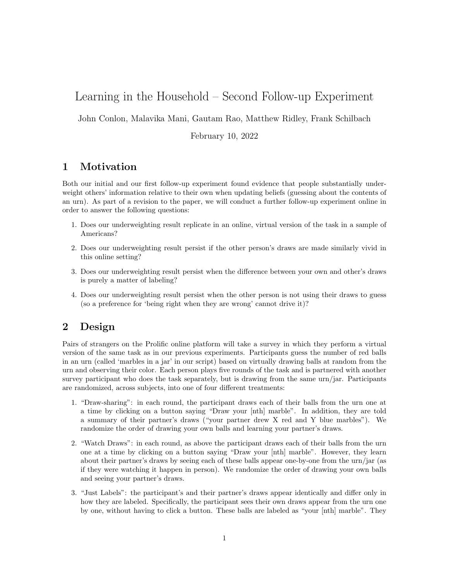# Learning in the Household – Second Follow-up Experiment

John Conlon, Malavika Mani, Gautam Rao, Matthew Ridley, Frank Schilbach

February 10, 2022

## 1 Motivation

Both our initial and our first follow-up experiment found evidence that people substantially underweight others' information relative to their own when updating beliefs (guessing about the contents of an urn). As part of a revision to the paper, we will conduct a further follow-up experiment online in order to answer the following questions:

- 1. Does our underweighting result replicate in an online, virtual version of the task in a sample of Americans?
- 2. Does our underweighting result persist if the other person's draws are made similarly vivid in this online setting?
- 3. Does our underweighting result persist when the difference between your own and other's draws is purely a matter of labeling?
- 4. Does our underweighting result persist when the other person is not using their draws to guess (so a preference for 'being right when they are wrong' cannot drive it)?

### 2 Design

Pairs of strangers on the Prolific online platform will take a survey in which they perform a virtual version of the same task as in our previous experiments. Participants guess the number of red balls in an urn (called 'marbles in a jar' in our script) based on virtually drawing balls at random from the urn and observing their color. Each person plays five rounds of the task and is partnered with another survey participant who does the task separately, but is drawing from the same urn/jar. Participants are randomized, across subjects, into one of four different treatments:

- 1. "Draw-sharing": in each round, the participant draws each of their balls from the urn one at a time by clicking on a button saying "Draw your [nth] marble". In addition, they are told a summary of their partner's draws ("your partner drew X red and Y blue marbles"). We randomize the order of drawing your own balls and learning your partner's draws.
- 2. "Watch Draws": in each round, as above the participant draws each of their balls from the urn one at a time by clicking on a button saying "Draw your [nth] marble". However, they learn about their partner's draws by seeing each of these balls appear one-by-one from the urn/jar (as if they were watching it happen in person). We randomize the order of drawing your own balls and seeing your partner's draws.
- 3. "Just Labels": the participant's and their partner's draws appear identically and differ only in how they are labeled. Specifically, the participant sees their own draws appear from the urn one by one, without having to click a button. These balls are labeled as "your [nth] marble". They